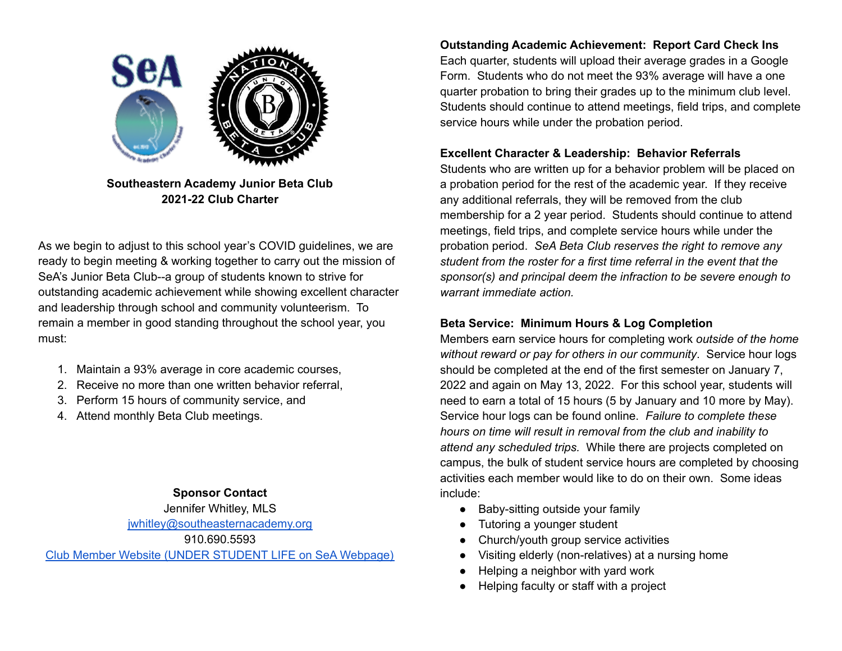

**Southeastern Academy Junior Beta Club 2021-22 Club Charter**

As we begin to adjust to this school year's COVID guidelines, we are ready to begin meeting & working together to carry out the mission of SeA's Junior Beta Club--a group of students known to strive for outstanding academic achievement while showing excellent character and leadership through school and community volunteerism. To remain a member in good standing throughout the school year, you must:

- 1. Maintain a 93% average in core academic courses,
- 2. Receive no more than one written behavior referral,
- 3. Perform 15 hours of community service, and
- 4. Attend monthly Beta Club meetings.

## **Sponsor Contact**

Jennifer Whitley, MLS [jwhitley@southeasternacademy.org](mailto:jwhitley@southeasternacademy.org)

910.690.5593

Club Member Website (UNDER [STUDENT](https://www.southeasternacademy.org/junior-beta-club) LIFE on SeA Webpage)

**Outstanding Academic Achievement: Report Card Check Ins** Each quarter, students will upload their average grades in a Google Form. Students who do not meet the 93% average will have a one quarter probation to bring their grades up to the minimum club level. Students should continue to attend meetings, field trips, and complete service hours while under the probation period.

# **Excellent Character & Leadership: Behavior Referrals**

Students who are written up for a behavior problem will be placed on a probation period for the rest of the academic year. If they receive any additional referrals, they will be removed from the club membership for a 2 year period. Students should continue to attend meetings, field trips, and complete service hours while under the probation period. *SeA Beta Club reserves the right to remove any student from the roster for a first time referral in the event that the sponsor(s) and principal deem the infraction to be severe enough to warrant immediate action.*

## **Beta Service: Minimum Hours & Log Completion**

Members earn service hours for completing work *outside of the home without reward or pay for others in our community*. Service hour logs should be completed at the end of the first semester on January 7, 2022 and again on May 13, 2022. For this school year, students will need to earn a total of 15 hours (5 by January and 10 more by May). Service hour logs can be found online. *Failure to complete these hours on time will result in removal from the club and inability to attend any scheduled trips.* While there are projects completed on campus, the bulk of student service hours are completed by choosing activities each member would like to do on their own. Some ideas include:

- Baby-sitting outside your family
- Tutoring a younger student
- Church/youth group service activities
- Visiting elderly (non-relatives) at a nursing home
- Helping a neighbor with yard work
- Helping faculty or staff with a project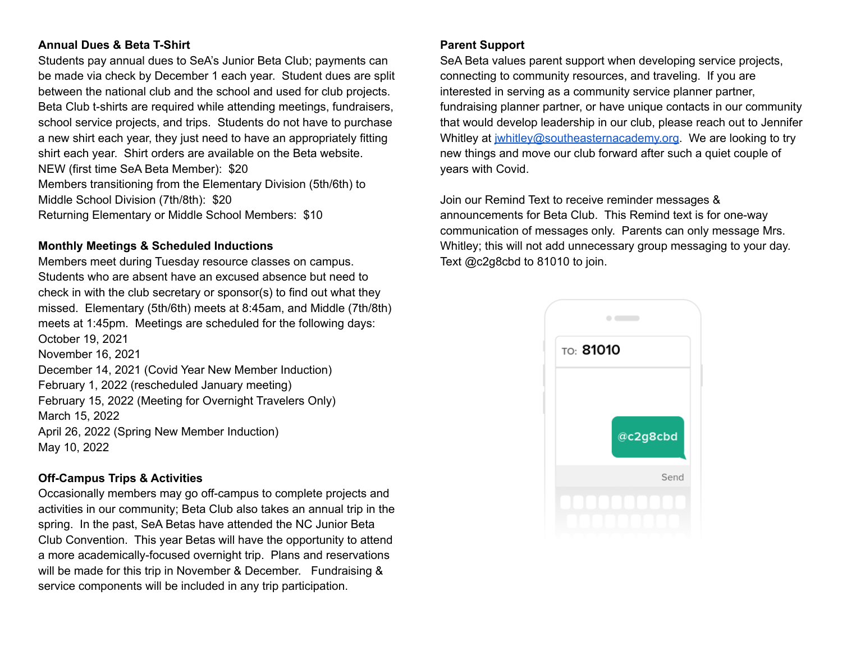#### **Annual Dues & Beta T-Shirt**

Students pay annual dues to SeA's Junior Beta Club; payments can be made via check by December 1 each year. Student dues are split between the national club and the school and used for club projects. Beta Club t-shirts are required while attending meetings, fundraisers, school service projects, and trips. Students do not have to purchase a new shirt each year, they just need to have an appropriately fitting shirt each year. Shirt orders are available on the Beta website. NEW (first time SeA Beta Member): \$20 Members transitioning from the Elementary Division (5th/6th) to Middle School Division (7th/8th): \$20 Returning Elementary or Middle School Members: \$10

### **Monthly Meetings & Scheduled Inductions**

Members meet during Tuesday resource classes on campus. Students who are absent have an excused absence but need to check in with the club secretary or sponsor(s) to find out what they missed. Elementary (5th/6th) meets at 8:45am, and Middle (7th/8th) meets at 1:45pm. Meetings are scheduled for the following days: October 19, 2021 November 16, 2021 December 14, 2021 (Covid Year New Member Induction) February 1, 2022 (rescheduled January meeting) February 15, 2022 (Meeting for Overnight Travelers Only) March 15, 2022 April 26, 2022 (Spring New Member Induction) May 10, 2022

## **Off-Campus Trips & Activities**

Occasionally members may go off-campus to complete projects and activities in our community; Beta Club also takes an annual trip in the spring. In the past, SeA Betas have attended the NC Junior Beta Club Convention. This year Betas will have the opportunity to attend a more academically-focused overnight trip. Plans and reservations will be made for this trip in November & December. Fundraising & service components will be included in any trip participation.

#### **Parent Support**

SeA Beta values parent support when developing service projects, connecting to community resources, and traveling. If you are interested in serving as a community service planner partner, fundraising planner partner, or have unique contacts in our community that would develop leadership in our club, please reach out to Jennifer Whitley at *jwhitley@southeasternacademy.org*. We are looking to try new things and move our club forward after such a quiet couple of years with Covid.

Join our Remind Text to receive reminder messages & announcements for Beta Club. This Remind text is for one-way communication of messages only. Parents can only message Mrs. Whitley; this will not add unnecessary group messaging to your day. Text @c2g8cbd to 81010 to join.